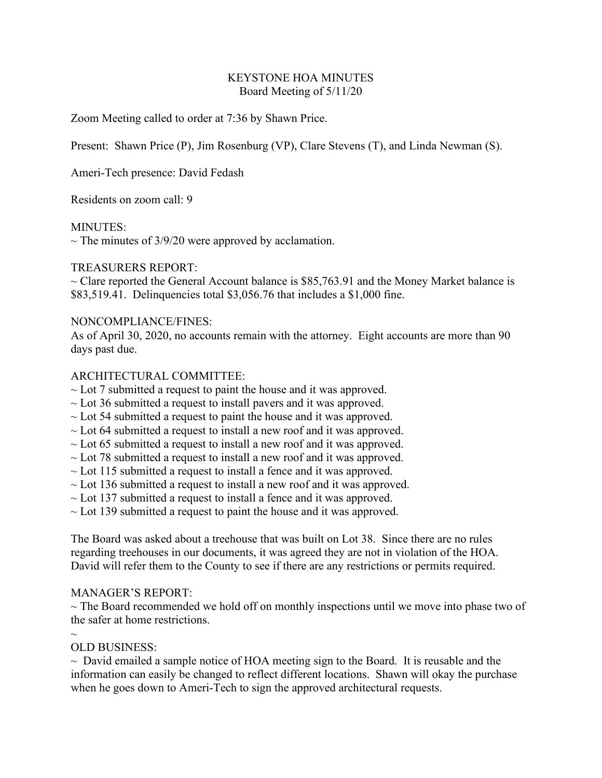#### KEYSTONE HOA MINUTES Board Meeting of 5/11/20

Zoom Meeting called to order at 7:36 by Shawn Price.

Present: Shawn Price (P), Jim Rosenburg (VP), Clare Stevens (T), and Linda Newman (S).

Ameri-Tech presence: David Fedash

Residents on zoom call: 9

#### MINUTES:

 $\sim$  The minutes of 3/9/20 were approved by acclamation.

## TREASURERS REPORT:

 $\sim$  Clare reported the General Account balance is \$85,763.91 and the Money Market balance is \$83,519.41. Delinquencies total \$3,056.76 that includes a \$1,000 fine.

## NONCOMPLIANCE/FINES:

As of April 30, 2020, no accounts remain with the attorney. Eight accounts are more than 90 days past due.

## ARCHITECTURAL COMMITTEE:

- $\sim$  Lot 7 submitted a request to paint the house and it was approved.
- $\sim$  Lot 36 submitted a request to install pavers and it was approved.
- $\sim$  Lot 54 submitted a request to paint the house and it was approved.
- $\sim$  Lot 64 submitted a request to install a new roof and it was approved.
- $\sim$  Lot 65 submitted a request to install a new roof and it was approved.
- $\sim$  Lot 78 submitted a request to install a new roof and it was approved.
- $\sim$  Lot 115 submitted a request to install a fence and it was approved.
- $\sim$  Lot 136 submitted a request to install a new roof and it was approved.
- $\sim$  Lot 137 submitted a request to install a fence and it was approved.
- $\sim$  Lot 139 submitted a request to paint the house and it was approved.

The Board was asked about a treehouse that was built on Lot 38. Since there are no rules regarding treehouses in our documents, it was agreed they are not in violation of the HOA. David will refer them to the County to see if there are any restrictions or permits required.

#### MANAGER'S REPORT:

 $\sim$  The Board recommended we hold off on monthly inspections until we move into phase two of the safer at home restrictions.

#### $\sim$

# OLD BUSINESS:

 $\sim$  David emailed a sample notice of HOA meeting sign to the Board. It is reusable and the information can easily be changed to reflect different locations. Shawn will okay the purchase when he goes down to Ameri-Tech to sign the approved architectural requests.